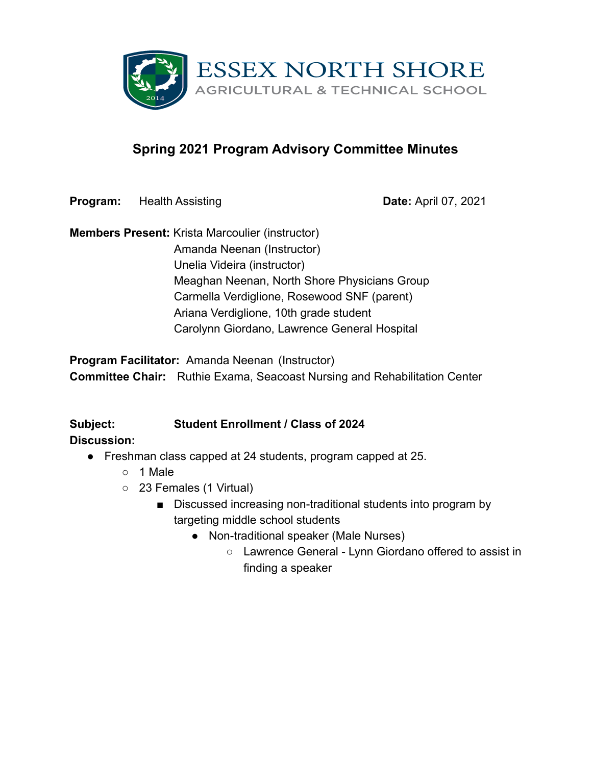

# **Spring 2021 Program Advisory Committee Minutes**

**Program:** Health Assisting **Date:** April 07, 2021

**Members Present:** Krista Marcoulier (instructor) Amanda Neenan (Instructor) Unelia Videira (instructor) Meaghan Neenan, North Shore Physicians Group Carmella Verdiglione, Rosewood SNF (parent) Ariana Verdiglione, 10th grade student Carolynn Giordano, Lawrence General Hospital

**Program Facilitator:** Amanda Neenan (Instructor) **Committee Chair:** Ruthie Exama, Seacoast Nursing and Rehabilitation Center

#### **Subject: Student Enrollment / Class of 2024 Discussion:**

- Freshman class capped at 24 students, program capped at 25.
	- 1 Male
	- 23 Females (1 Virtual)
		- Discussed increasing non-traditional students into program by targeting middle school students
			- Non-traditional speaker (Male Nurses)
				- Lawrence General Lynn Giordano offered to assist in finding a speaker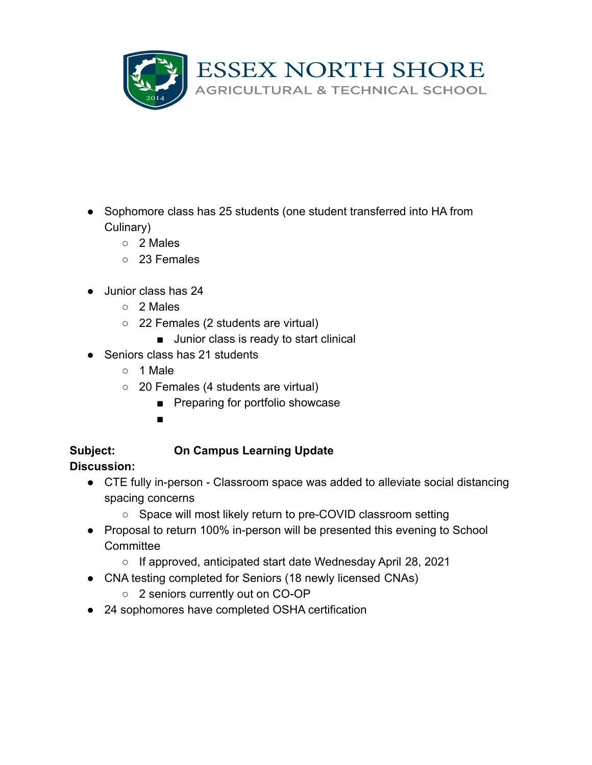

- Sophomore class has 25 students (one student transferred into HA from Culinary)
	- 2 Males
	- 23 Females
- Junior class has 24
	- 2 Males
	- 22 Females (2 students are virtual)
		- Junior class is ready to start clinical
- Seniors class has 21 students
	- 1 Male
	- 20 Females (4 students are virtual)
		- Preparing for portfolio showcase
		- ■

# **Subject: On Campus Learning Update**

- CTE fully in-person Classroom space was added to alleviate social distancing spacing concerns
	- Space will most likely return to pre-COVID classroom setting
- Proposal to return 100% in-person will be presented this evening to School **Committee** 
	- If approved, anticipated start date Wednesday April 28, 2021
- CNA testing completed for Seniors (18 newly licensed CNAs)
	- 2 seniors currently out on CO-OP
- 24 sophomores have completed OSHA certification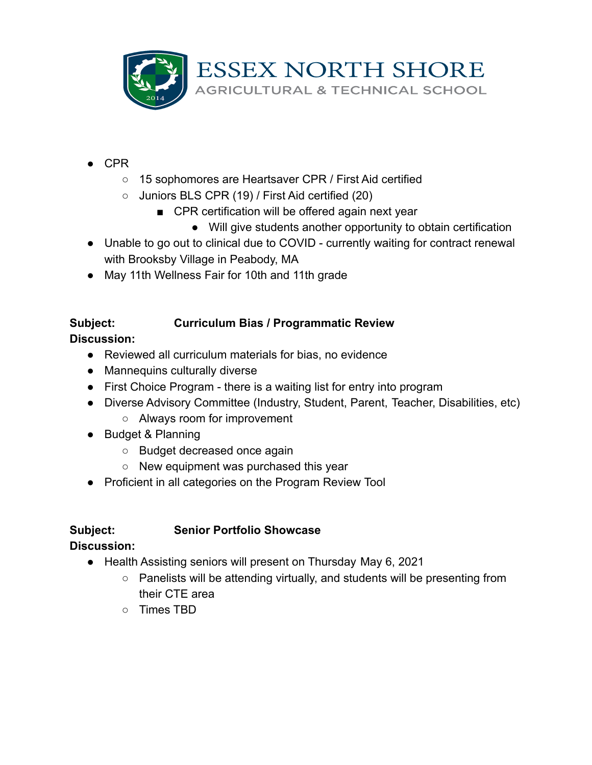

- $\bullet$  CPR
	- 15 sophomores are Heartsaver CPR / First Aid certified
	- Juniors BLS CPR (19) / First Aid certified (20)
		- CPR certification will be offered again next year
			- Will give students another opportunity to obtain certification
- Unable to go out to clinical due to COVID currently waiting for contract renewal with Brooksby Village in Peabody, MA
- May 11th Wellness Fair for 10th and 11th grade

#### **Subject: Curriculum Bias / Programmatic Review**

**Discussion:**

- Reviewed all curriculum materials for bias, no evidence
- Mannequins culturally diverse
- First Choice Program there is a waiting list for entry into program
- Diverse Advisory Committee (Industry, Student, Parent, Teacher, Disabilities, etc)
	- Always room for improvement
- Budget & Planning
	- Budget decreased once again
	- New equipment was purchased this year
- Proficient in all categories on the Program Review Tool

## **Subject: Senior Portfolio Showcase**

- Health Assisting seniors will present on Thursday May 6, 2021
	- Panelists will be attending virtually, and students will be presenting from their CTE area
	- Times TBD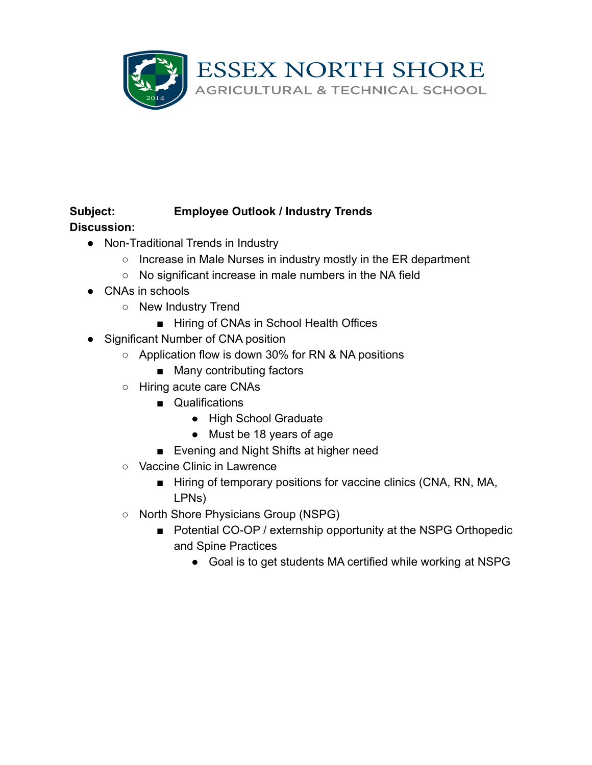

#### **Subject: Employee Outlook / Industry Trends**

- Non-Traditional Trends in Industry
	- Increase in Male Nurses in industry mostly in the ER department
	- No significant increase in male numbers in the NA field
- CNAs in schools
	- New Industry Trend
		- Hiring of CNAs in School Health Offices
- Significant Number of CNA position
	- Application flow is down 30% for RN & NA positions
		- Many contributing factors
	- Hiring acute care CNAs
		- Qualifications
			- High School Graduate
			- Must be 18 years of age
		- Evening and Night Shifts at higher need
	- Vaccine Clinic in Lawrence
		- Hiring of temporary positions for vaccine clinics (CNA, RN, MA, LPNs)
	- North Shore Physicians Group (NSPG)
		- Potential CO-OP / externship opportunity at the NSPG Orthopedic and Spine Practices
			- Goal is to get students MA certified while working at NSPG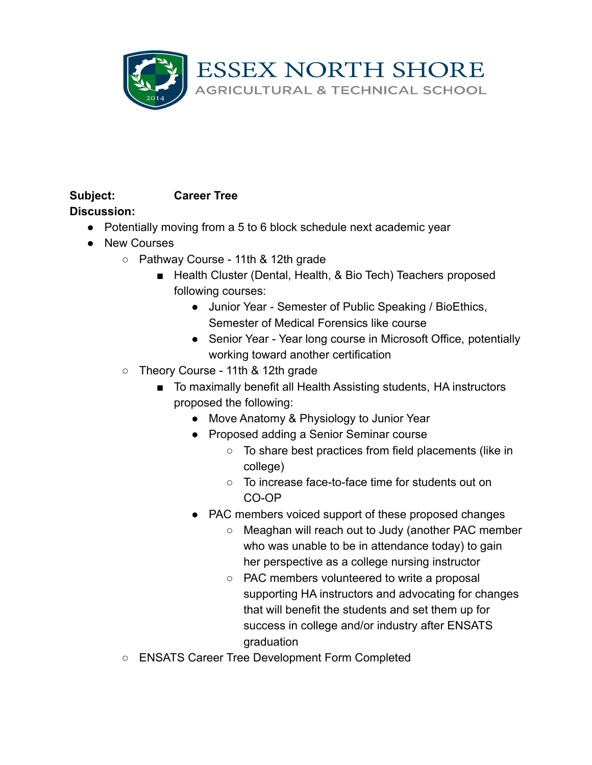

# **Subject: Career Tree**

- Potentially moving from a 5 to 6 block schedule next academic year
- New Courses
	- Pathway Course 11th & 12th grade
		- Health Cluster (Dental, Health, & Bio Tech) Teachers proposed following courses:
			- Junior Year Semester of Public Speaking / BioEthics, Semester of Medical Forensics like course
			- Senior Year Year long course in Microsoft Office, potentially working toward another certification
	- Theory Course 11th & 12th grade
		- To maximally benefit all Health Assisting students, HA instructors proposed the following:
			- Move Anatomy & Physiology to Junior Year
			- Proposed adding a Senior Seminar course
				- To share best practices from field placements (like in college)
				- To increase face-to-face time for students out on CO-OP
			- PAC members voiced support of these proposed changes
				- Meaghan will reach out to Judy (another PAC member who was unable to be in attendance today) to gain her perspective as a college nursing instructor
				- PAC members volunteered to write a proposal supporting HA instructors and advocating for changes that will benefit the students and set them up for success in college and/or industry after ENSATS graduation
	- ENSATS Career Tree Development Form Completed